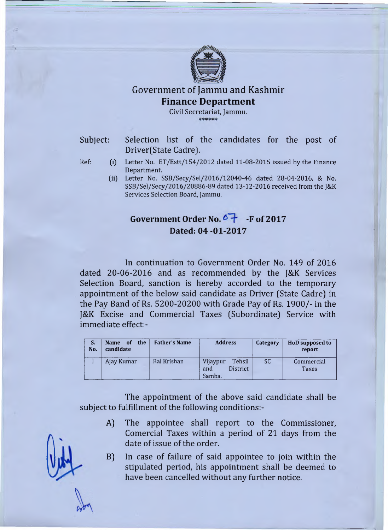

## Government of Jammu and Kashmir Finance Department

Civil Secretariat, Jammu.  $***$ 

- Subject: Selection list of the candidates for the post of Driver (State Cadre).
- Ref: (i) Letter No. ET/Estt/154/2012 dated 11-08-2015 issued by the Finance Department.
	- (ii) Letter No. SSB/Secy/Sel/2016/12040-46 dated 28-04-2016, & No. SSB/Sel/Secy/2016/20886-89 dated 13-12-2016 received from the J&K Services Selection Board, Jammu.

## Government Order No. <sup>6</sup> + F of 2017 **Dated: 04 -01-2017**

In continuation to Government Order No. 149 of 2016 dated 20-06-2016 and as recommended by the J&K Services Selection Board, sanction is hereby accorded to the temporary appointment of the below said candidate as Driver (State Cadre] in the Pay Band of Rs. 5200-20200 with Grade Pay of Rs. 1900/- in the J&K Excise and Commercial Taxes (Subordinate] Service with immediate effect:-

| S.<br>No. | Name of the<br>candidate | <b>Father's Name</b> | <b>Address</b>                                  | Category  | HoD supposed to<br>report |
|-----------|--------------------------|----------------------|-------------------------------------------------|-----------|---------------------------|
|           | Ajay Kumar               | <b>Bal Krishan</b>   | Tehsil<br>Vijaypur<br>District<br>and<br>Samba. | <b>SC</b> | Commercial<br>Taxes       |

The appointment of the above said candidate shall be subject to fulfillment of the following conditions:-

- A] The appointee shall report to the Commissioner, Comercial Taxes within a period of 21 days from the date of issue of the order.
- B] In case of failure of said appointee to join within the stipulated period, his appointment shall be deemed to have been cancelled without any further notice.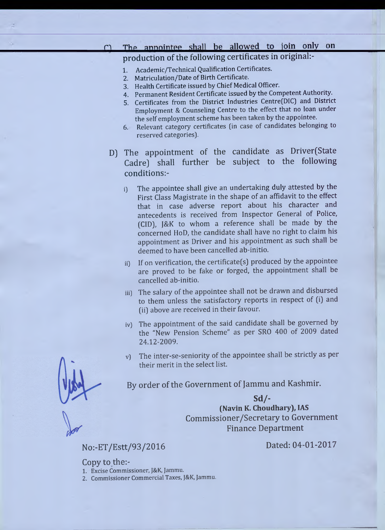#### The annointee shall be allowed to join only on  $\cap$

# production of the following certificates in original:-

- 1. Academic/Technical Qualification Certificates.
- 2. Matriculation/Date of Birth Certificate.
- 3. Health Certificate issued by Chief Medical Officer.
- 4. Permanent Resident Certificate issued by the Competent Authority.
- 5. Certificates from the District Industries Centre(DIC) and District Employment & Counseling Centre to the effect that no loan under the self employment scheme has been taken by the appointee.
- 6. Relevant category certificates (in case of candidates belonging to reserved categories).
- D) The appointment of the candidate as Driver(State Cadre) shall further be subject to the following conditions:
	- i) The appointee shall give an undertaking duly attested by the First Class Magistrate in the shape of an affidavit to the effect that in case adverse report about his character and antecedents is received from Inspector General of Police, (CID), J&K to whom a reference shall be made by the concerned HoD, the candidate shall have no right to claim his appointment as Driver and his appointment as such shall be deemed to have been cancelled ab-initio.
	- ii) If on verification, the certificate(s) produced by the appointee are proved to be fake or forged, the appointment shall be cancelled ab-initio.
	- iii) The salary of the appointee shall not be drawn and disbursed to them unless the satisfactory reports in respect of (i) and (ii) above are received in their favour.
	- iv) The appointment of the said candidate shall be governed by the "New Pension Scheme" as per SRO 400 of 2009 dated 24.12-2009.
	- v) The inter-se-seniority of the appointee shall be strictly as per their merit in the select list.

By order of the Government of Jammu and Kashmir.

### **Sd/-**

**(Navin K. Choudhary), IAS** Commissioner/Secretary to Government Finance Department

No:-ET/Estt/93/2016 Dated: 04-01-2017

Copy to the:-

1. Excise Commissioner, J&K, Jammu.

2. Commissioner Commercial Taxes, J&K, Jammu.